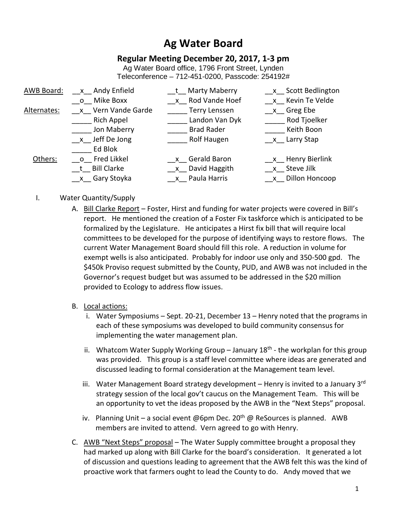# **Ag Water Board**

## **Regular Meeting December 20, 2017, 1-3 pm**

Ag Water Board office, 1796 Front Street, Lynden Teleconference – 712-451-0200, Passcode: 254192#

| AWB Board:  | x Andy Enfield     | t Marty Maberry      | x Scott Bedlington   |
|-------------|--------------------|----------------------|----------------------|
|             | o Mike Boxx        | x Rod Vande Hoef     | x Kevin Te Velde     |
| Alternates: | x Vern Vande Garde | <b>Terry Lenssen</b> | x Greg Ebe           |
|             | <b>Rich Appel</b>  | Landon Van Dyk       | Rod Tjoelker         |
|             | Jon Maberry        | <b>Brad Rader</b>    | Keith Boon           |
|             | x Jeff De Jong     | Rolf Haugen          | x Larry Stap         |
|             | Ed Blok            |                      |                      |
| Others:     | o Fred Likkel      | x Gerald Baron       | __x__ Henry Bierlink |
|             | t Bill Clarke      | x David Haggith      | x Steve Jilk         |
|             | __x__ Gary Stoyka  | x Paula Harris       | x Dillon Honcoop     |
|             |                    |                      |                      |

- I. Water Quantity/Supply
	- A. Bill Clarke Report Foster, Hirst and funding for water projects were covered in Bill's report. He mentioned the creation of a Foster Fix taskforce which is anticipated to be formalized by the Legislature. He anticipates a Hirst fix bill that will require local committees to be developed for the purpose of identifying ways to restore flows. The current Water Management Board should fill this role. A reduction in volume for exempt wells is also anticipated. Probably for indoor use only and 350-500 gpd. The \$450k Proviso request submitted by the County, PUD, and AWB was not included in the Governor's request budget but was assumed to be addressed in the \$20 million provided to Ecology to address flow issues.
	- B. Local actions:
		- i. Water Symposiums Sept. 20-21, December 13 Henry noted that the programs in each of these symposiums was developed to build community consensus for implementing the water management plan.
		- ii. Whatcom Water Supply Working Group January  $18<sup>th</sup>$  the workplan for this group was provided. This group is a staff level committee where ideas are generated and discussed leading to formal consideration at the Management team level.
		- iii. Water Management Board strategy development Henry is invited to a January 3rd strategy session of the local gov't caucus on the Management Team. This will be an opportunity to vet the ideas proposed by the AWB in the "Next Steps" proposal.
		- iv. Planning Unit a social event @6pm Dec. 20<sup>th</sup> @ ReSources is planned. AWB members are invited to attend. Vern agreed to go with Henry.
	- C. AWB "Next Steps" proposal The Water Supply committee brought a proposal they had marked up along with Bill Clarke for the board's consideration. It generated a lot of discussion and questions leading to agreement that the AWB felt this was the kind of proactive work that farmers ought to lead the County to do. Andy moved that we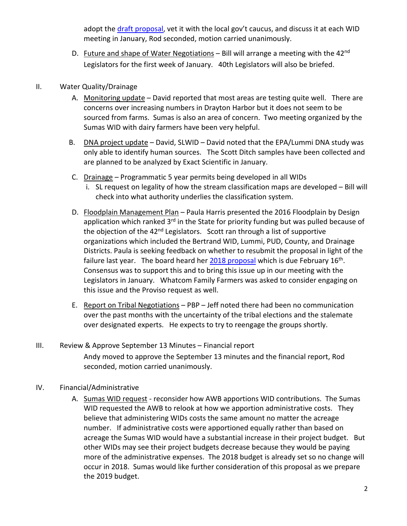adopt the draft proposal, vet it with the local gov't caucus, and discuss it at each WID meeting in January, Rod seconded, motion carried unanimously.

D. Future and shape of Water Negotiations  $-$  Bill will arrange a meeting with the 42<sup>nd</sup> Legislators for the first week of January. 40th Legislators will also be briefed.

### II. Water Quality/Drainage

- A. Monitoring update David reported that most areas are testing quite well. There are concerns over increasing numbers in Drayton Harbor but it does not seem to be sourced from farms. Sumas is also an area of concern. Two meeting organized by the Sumas WID with dairy farmers have been very helpful.
- B. DNA project update David, SLWID David noted that the EPA/Lummi DNA study was only able to identify human sources. The Scott Ditch samples have been collected and are planned to be analyzed by Exact Scientific in January.
- C. Drainage Programmatic 5 year permits being developed in all WIDs
	- i. SL request on legality of how the stream classification maps are developed Bill will check into what authority underlies the classification system.
- D. Floodplain Management Plan Paula Harris presented the 2016 Floodplain by Design application which ranked  $3<sup>rd</sup>$  in the State for priority funding but was pulled because of the objection of the 42<sup>nd</sup> Legislators. Scott ran through a list of supportive organizations which included the Bertrand WID, Lummi, PUD, County, and Drainage Districts. Paula is seeking feedback on whether to resubmit the proposal in light of the failure last year. The board heard her  $2018$  proposal which is due February  $16<sup>th</sup>$ . Consensus was to support this and to bring this issue up in our meeting with the Legislators in January. Whatcom Family Farmers was asked to consider engaging on this issue and the Proviso request as well.
- E. Report on Tribal Negotiations PBP Jeff noted there had been no communication over the past months with the uncertainty of the tribal elections and the stalemate over designated experts. He expects to try to reengage the groups shortly.
- III. Review & Approve September 13 Minutes Financial report Andy moved to approve the September 13 minutes and the financial report, Rod seconded, motion carried unanimously.

## IV. Financial/Administrative

A. Sumas WID request - reconsider how AWB apportions WID contributions. The Sumas WID requested the AWB to relook at how we apportion administrative costs. They believe that administering WIDs costs the same amount no matter the acreage number. If administrative costs were apportioned equally rather than based on acreage the Sumas WID would have a substantial increase in their project budget. But other WIDs may see their project budgets decrease because they would be paying more of the administrative expenses. The 2018 budget is already set so no change will occur in 2018. Sumas would like further consideration of this proposal as we prepare the 2019 budget.